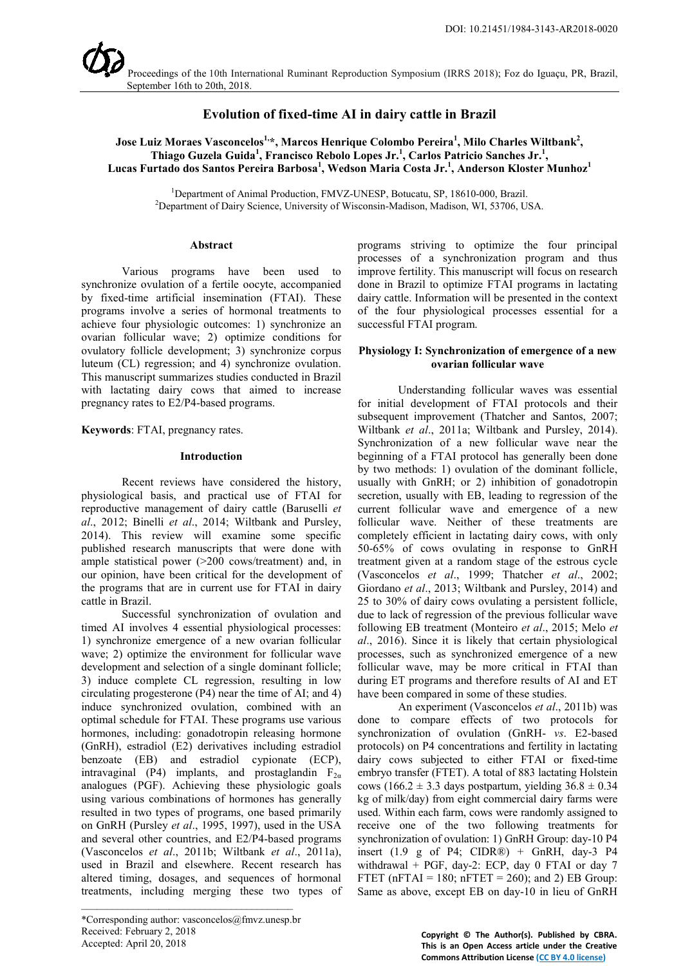

# **Evolution of fixed-time AI in dairy cattle in Brazil**

 $J$ ose Luiz Moraes Vasconcelos $^{1,\ast}$ , Marcos Henrique Colombo Pereira $^{1}$ , Milo Charles Wiltbank $^{2},$ **Thiago Guzela Guida<sup>1</sup> , Francisco Rebolo Lopes Jr.<sup>1</sup> , Carlos Patricio Sanches Jr.<sup>1</sup> , Lucas Furtado dos Santos Pereira Barbosa<sup>1</sup> , Wedson Maria Costa Jr.<sup>1</sup> , Anderson Kloster Munhoz<sup>1</sup>**

<sup>1</sup>Department of Animal Production, FMVZ-UNESP, Botucatu, SP, 18610-000, Brazil.<br><sup>2</sup>Department of Dairy Science, University of Wisconsin-Madison, Madison, WI, 53706, U Department of Dairy Science, University of Wisconsin-Madison, Madison, WI, 53706, USA.

#### **Abstract**

Various programs have been used to synchronize ovulation of a fertile oocyte, accompanied by fixed-time artificial insemination (FTAI). These programs involve a series of hormonal treatments to achieve four physiologic outcomes: 1) synchronize an ovarian follicular wave; 2) optimize conditions for ovulatory follicle development; 3) synchronize corpus luteum (CL) regression; and 4) synchronize ovulation. This manuscript summarizes studies conducted in Brazil with lactating dairy cows that aimed to increase pregnancy rates to E2/P4-based programs.

**Keywords**: FTAI, pregnancy rates.

#### **Introduction**

Recent reviews have considered the history, physiological basis, and practical use of FTAI for reproductive management of dairy cattle (Baruselli *et al*., 2012; Binelli *et al*., 2014; Wiltbank and Pursley, 2014). This review will examine some specific published research manuscripts that were done with ample statistical power (>200 cows/treatment) and, in our opinion, have been critical for the development of the programs that are in current use for FTAI in dairy cattle in Brazil.

Successful synchronization of ovulation and timed AI involves 4 essential physiological processes: 1) synchronize emergence of a new ovarian follicular wave; 2) optimize the environment for follicular wave development and selection of a single dominant follicle; 3) induce complete CL regression, resulting in low circulating progesterone (P4) near the time of AI; and 4) induce synchronized ovulation, combined with an optimal schedule for FTAI. These programs use various hormones, including: gonadotropin releasing hormone (GnRH), estradiol (E2) derivatives including estradiol benzoate (EB) and estradiol cypionate (ECP), intravaginal (P4) implants, and prostaglandin  $F_{2\alpha}$ analogues (PGF). Achieving these physiologic goals using various combinations of hormones has generally resulted in two types of programs, one based primarily on GnRH (Pursley *et al*., 1995, 1997), used in the USA and several other countries, and E2/P4-based programs (Vasconcelos *et al*., 2011b; Wiltbank *et al*., 2011a), used in Brazil and elsewhere. Recent research has altered timing, dosages, and sequences of hormonal treatments, including merging these two types of

\*Corresponding author: vasconcelos@fmvz.unesp.br Received: February 2, 2018 Accepted: April 20, 2018

\_\_\_\_\_\_\_\_\_\_\_\_\_\_\_\_\_\_\_\_\_\_\_\_\_\_\_\_\_\_\_\_\_\_\_\_\_\_\_\_\_

programs striving to optimize the four principal processes of a synchronization program and thus improve fertility. This manuscript will focus on research done in Brazil to optimize FTAI programs in lactating dairy cattle. Information will be presented in the context of the four physiological processes essential for a successful FTAI program.

## **Physiology I: Synchronization of emergence of a new ovarian follicular wave**

Understanding follicular waves was essential for initial development of FTAI protocols and their subsequent improvement (Thatcher and Santos, 2007; Wiltbank *et al*., 2011a; Wiltbank and Pursley, 2014). Synchronization of a new follicular wave near the beginning of a FTAI protocol has generally been done by two methods: 1) ovulation of the dominant follicle, usually with GnRH; or 2) inhibition of gonadotropin secretion, usually with EB, leading to regression of the current follicular wave and emergence of a new follicular wave. Neither of these treatments are completely efficient in lactating dairy cows, with only 50-65% of cows ovulating in response to GnRH treatment given at a random stage of the estrous cycle (Vasconcelos *et al*., 1999; Thatcher *et al*., 2002; Giordano *et al*., 2013; Wiltbank and Pursley, 2014) and 25 to 30% of dairy cows ovulating a persistent follicle, due to lack of regression of the previous follicular wave following EB treatment (Monteiro *et al*., 2015; Melo *et al*., 2016). Since it is likely that certain physiological processes, such as synchronized emergence of a new follicular wave, may be more critical in FTAI than during ET programs and therefore results of AI and ET have been compared in some of these studies.

An experiment (Vasconcelos *et al*., 2011b) was done to compare effects of two protocols for synchronization of ovulation (GnRH- *vs*. E2-based protocols) on P4 concentrations and fertility in lactating dairy cows subjected to either FTAI or fixed-time embryo transfer (FTET). A total of 883 lactating Holstein cows (166.2  $\pm$  3.3 days postpartum, yielding 36.8  $\pm$  0.34 kg of milk/day) from eight commercial dairy farms were used. Within each farm, cows were randomly assigned to receive one of the two following treatments for synchronization of ovulation: 1) GnRH Group: day-10 P4 insert (1.9 g of P4; CIDR®) + GnRH, day-3 P4 withdrawal + PGF, day-2: ECP, day 0 FTAI or day 7 FTET (nFTAI = 180; nFTET = 260); and 2) EB Group: Same as above, except EB on day-10 in lieu of GnRH

> **Copyright © The Author(s). Published by CBRA. This is an Open Access article under the Creative Commons Attribution License [\(CC BY 4.0 license\)](https://creativecommons.org/licenses/by/4.0/)**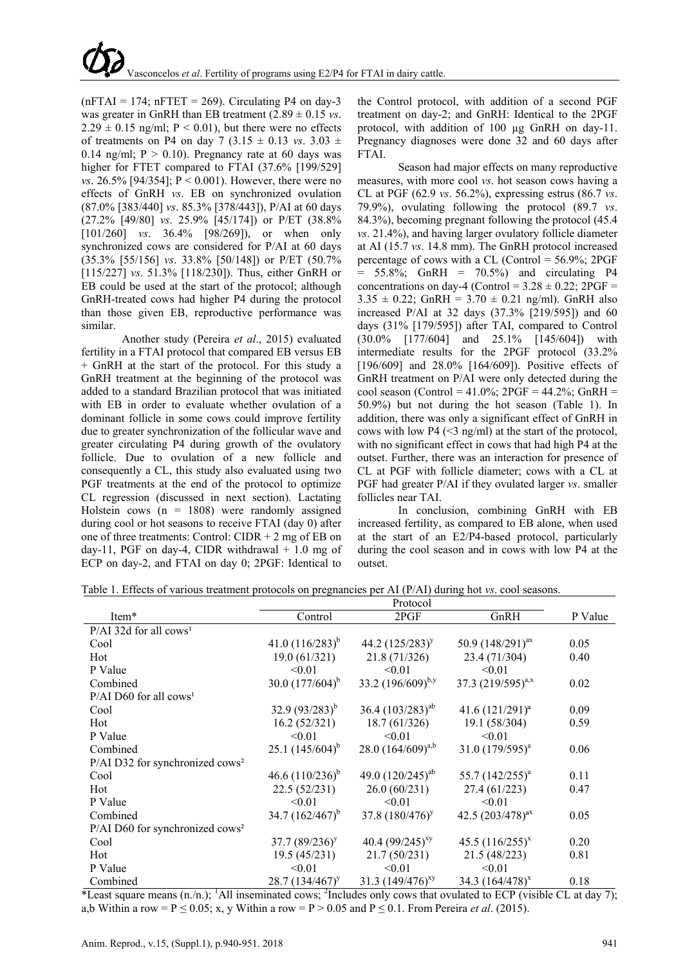$(nFTAI = 174; nFTET = 269)$ . Circulating P4 on day-3 was greater in GnRH than EB treatment (2.89 ± 0.15 *vs*.  $2.29 \pm 0.15$  ng/ml; P < 0.01), but there were no effects of treatments on P4 on day 7 (3.15  $\pm$  0.13 *vs.* 3.03  $\pm$ 0.14 ng/ml;  $P > 0.10$ ). Pregnancy rate at 60 days was higher for FTET compared to FTAI (37.6% [199/529] *vs*. 26.5% [94/354]; P < 0.001). However, there were no effects of GnRH *vs*. EB on synchronized ovulation (87.0% [383/440] *vs*. 85.3% [378/443]), P/AI at 60 days (27.2% [49/80] *vs*. 25.9% [45/174]) or P/ET (38.8% [101/260] *vs*. 36.4% [98/269]), or when only synchronized cows are considered for P/AI at 60 days (35.3% [55/156] *vs*. 33.8% [50/148]) or P/ET (50.7% [115/227] *vs*. 51.3% [118/230]). Thus, either GnRH or EB could be used at the start of the protocol; although GnRH-treated cows had higher P4 during the protocol than those given EB, reproductive performance was similar.

Another study (Pereira *et al*., 2015) evaluated fertility in a FTAI protocol that compared EB versus EB + GnRH at the start of the protocol. For this study a GnRH treatment at the beginning of the protocol was added to a standard Brazilian protocol that was initiated with EB in order to evaluate whether ovulation of a dominant follicle in some cows could improve fertility due to greater synchronization of the follicular wave and greater circulating P4 during growth of the ovulatory follicle. Due to ovulation of a new follicle and consequently a CL, this study also evaluated using two PGF treatments at the end of the protocol to optimize CL regression (discussed in next section). Lactating Holstein cows ( $n = 1808$ ) were randomly assigned during cool or hot seasons to receive FTAI (day 0) after one of three treatments: Control: CIDR  $+$  2 mg of EB on day-11, PGF on day-4, CIDR withdrawal  $+1.0$  mg of ECP on day-2, and FTAI on day 0; 2PGF: Identical to

the Control protocol, with addition of a second PGF treatment on day-2; and GnRH: Identical to the 2PGF protocol, with addition of 100 µg GnRH on day-11. Pregnancy diagnoses were done 32 and 60 days after FTAI.

Season had major effects on many reproductive measures, with more cool *vs*. hot season cows having a CL at PGF (62.9 *vs*. 56.2%), expressing estrus (86.7 *vs*. 79.9%), ovulating following the protocol (89.7 *vs*. 84.3%), becoming pregnant following the protocol (45.4 *vs*. 21.4%), and having larger ovulatory follicle diameter at AI (15.7 *vs*. 14.8 mm). The GnRH protocol increased percentage of cows with a CL (Control =  $56.9\%$ ; 2PGF  $= 55.8\%$ ; GnRH  $= 70.5\%$  and circulating P4 concentrations on day-4 (Control =  $3.28 \pm 0.22$ ; 2PGF =  $3.35 \pm 0.22$ ; GnRH =  $3.70 \pm 0.21$  ng/ml). GnRH also increased P/AI at 32 days (37.3% [219/595]) and 60 days (31% [179/595]) after TAI, compared to Control (30.0% [177/604] and 25.1% [145/604]) with intermediate results for the 2PGF protocol (33.2% [196/609] and 28.0% [164/609]). Positive effects of GnRH treatment on P/AI were only detected during the cool season (Control =  $41.0\%$ ; 2PGF =  $44.2\%$ ; GnRH = 50.9%) but not during the hot season (Table 1). In addition, there was only a significant effect of GnRH in cows with low P4  $(\leq 3 \text{ ng/ml})$  at the start of the protocol, with no significant effect in cows that had high P4 at the outset. Further, there was an interaction for presence of CL at PGF with follicle diameter; cows with a CL at PGF had greater P/AI if they ovulated larger *vs*. smaller follicles near TAI.

In conclusion, combining GnRH with EB increased fertility, as compared to EB alone, when used at the start of an E2/P4-based protocol, particularly during the cool season and in cows with low P4 at the outset.

Table 1. Effects of various treatment protocols on pregnancies per AI (P/AI) during hot *vs*. cool seasons.

|                                             | Protocol             |                        |                        |         |
|---------------------------------------------|----------------------|------------------------|------------------------|---------|
| Item*                                       | Control              | 2PGF                   | GnRH                   | P Value |
| $P/AI$ 32d for all cows <sup>1</sup>        |                      |                        |                        |         |
| Cool                                        | 41.0 $(116/283)^{b}$ | 44.2 $(125/283)^y$     | 50.9 $(148/291)^{ax}$  | 0.05    |
| Hot                                         | 19.0(61/321)         | 21.8 (71/326)          | 23.4 (71/304)          | 0.40    |
| P Value                                     | < 0.01               | < 0.01                 | < 0.01                 |         |
| Combined                                    | 30.0 $(177/604)^{b}$ | 33.2 $(196/609)^{b,y}$ | 37.3 $(219/595)^{a,x}$ | 0.02    |
| $P/AI$ D60 for all cows <sup>1</sup>        |                      |                        |                        |         |
| Cool                                        | 32.9 $(93/283)^{b}$  | 36.4 $(103/283)^{ab}$  | 41.6 $(121/291)^a$     | 0.09    |
| Hot                                         | 16.2(52/321)         | 18.7(61/326)           | 19.1 (58/304)          | 0.59    |
| P Value                                     | < 0.01               | < 0.01                 | < 0.01                 |         |
| Combined                                    | 25.1 $(145/604)^b$   | 28.0 $(164/609)^{a,b}$ | $31.0 (179/595)^a$     | 0.06    |
| P/AI D32 for synchronized cows <sup>2</sup> |                      |                        |                        |         |
| Cool                                        | 46.6 $(110/236)^b$   | 49.0 $(120/245)^{ab}$  | 55.7 $(142/255)^{a}$   | 0.11    |
| Hot                                         | 22.5 (52/231)        | 26.0 (60/231)          | 27.4 (61/223)          | 0.47    |
| P Value                                     | < 0.01               | < 0.01                 | < 0.01                 |         |
| Combined                                    | 34.7 $(162/467)^b$   | 37.8 $(180/476)^y$     | 42.5 $(203/478)^{aX}$  | 0.05    |
| P/AI D60 for synchronized cows <sup>2</sup> |                      |                        |                        |         |
| Cool                                        | 37.7 $(89/236)^y$    | 40.4 $(99/245)^{xy}$   | 45.5 $(116/255)^{x}$   | 0.20    |
| Hot                                         | 19.5(45/231)         | 21.7(50/231)           | 21.5 (48/223)          | 0.81    |
| P Value                                     | < 0.01               | < 0.01                 | < 0.01                 |         |
| Combined                                    | $28.7(134/467)^{y}$  | 31.3 $(149/476)^{xy}$  | 34.3 $(164/478)^{x}$   | 0.18    |

\*Least square means  $(n/n)$ ; <sup>1</sup>All inseminated cows; <sup>2</sup>Includes only cows that ovulated to ECP (visible CL at day 7); a,b Within a row =  $P \le 0.05$ ; x, y Within a row =  $P > 0.05$  and  $P \le 0.1$ . From Pereira *et al.* (2015).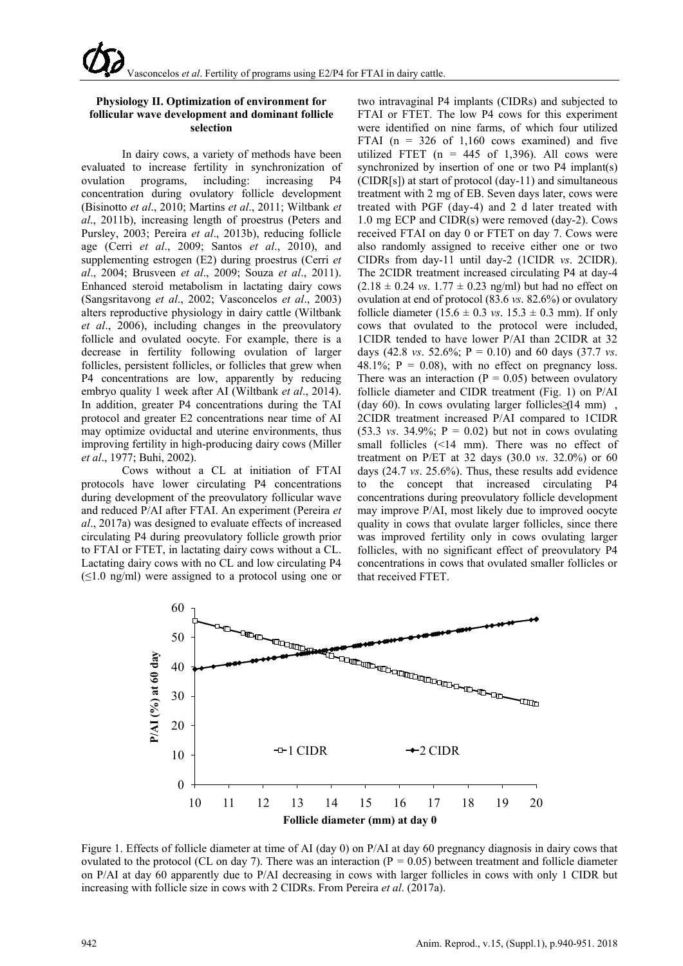### **Physiology II. Optimization of environment for follicular wave development and dominant follicle selection**

In dairy cows, a variety of methods have been evaluated to increase fertility in synchronization of ovulation programs, including: increasing P4 concentration during ovulatory follicle development (Bisinotto *et al*., 2010; Martins *et al*., 2011; Wiltbank *et al*., 2011b), increasing length of proestrus (Peters and Pursley, 2003; Pereira *et al*., 2013b), reducing follicle age (Cerri *et al*., 2009; Santos *et al*., 2010), and supplementing estrogen (E2) during proestrus (Cerri *et al*., 2004; Brusveen *et al*., 2009; Souza *et al*., 2011). Enhanced steroid metabolism in lactating dairy cows (Sangsritavong *et al*., 2002; Vasconcelos *et al*., 2003) alters reproductive physiology in dairy cattle (Wiltbank *et al*., 2006), including changes in the preovulatory follicle and ovulated oocyte. For example, there is a decrease in fertility following ovulation of larger follicles, persistent follicles, or follicles that grew when P4 concentrations are low, apparently by reducing embryo quality 1 week after AI (Wiltbank *et al*., 2014). In addition, greater P4 concentrations during the TAI protocol and greater E2 concentrations near time of AI may optimize oviductal and uterine environments, thus improving fertility in high-producing dairy cows (Miller *et al*., 1977; Buhi, 2002).

Cows without a CL at initiation of FTAI protocols have lower circulating P4 concentrations during development of the preovulatory follicular wave and reduced P/AI after FTAI. An experiment (Pereira *et al*., 2017a) was designed to evaluate effects of increased circulating P4 during preovulatory follicle growth prior to FTAI or FTET, in lactating dairy cows without a CL. Lactating dairy cows with no CL and low circulating P4  $(\leq1.0 \text{ ng/ml})$  were assigned to a protocol using one or

two intravaginal P4 implants (CIDRs) and subjected to FTAI or FTET. The low P4 cows for this experiment were identified on nine farms, of which four utilized FTAI ( $n = 326$  of 1,160 cows examined) and five utilized FTET ( $n = 445$  of 1,396). All cows were synchronized by insertion of one or two P4 implant(s) (CIDR[s]) at start of protocol (day-11) and simultaneous treatment with 2 mg of EB. Seven days later, cows were treated with PGF (day-4) and 2 d later treated with 1.0 mg ECP and CIDR(s) were removed (day-2). Cows received FTAI on day 0 or FTET on day 7. Cows were also randomly assigned to receive either one or two CIDRs from day-11 until day-2 (1CIDR *vs*. 2CIDR). The 2CIDR treatment increased circulating P4 at day-4  $(2.18 \pm 0.24 \text{ vs. } 1.77 \pm 0.23 \text{ ng/ml})$  but had no effect on ovulation at end of protocol (83.6 *vs*. 82.6%) or ovulatory follicle diameter  $(15.6 \pm 0.3 \text{ vs. } 15.3 \pm 0.3 \text{ mm})$ . If only cows that ovulated to the protocol were included, 1CIDR tended to have lower P/AI than 2CIDR at 32 days (42.8 *vs*. 52.6%; P = 0.10) and 60 days (37.7 *vs*. 48.1%;  $P = 0.08$ , with no effect on pregnancy loss. There was an interaction ( $P = 0.05$ ) between ovulatory follicle diameter and CIDR treatment (Fig. 1) on P/AI (day 60). In cows ovulating larger follicles  $\leq$  14 mm), 2CIDR treatment increased P/AI compared to 1CIDR  $(53.3 \text{ vs. } 34.9\%; \text{ P} = 0.02)$  but not in cows ovulating small follicles (<14 mm). There was no effect of treatment on P/ET at 32 days (30.0 *vs*. 32.0%) or 60 days (24.7 *vs*. 25.6%). Thus, these results add evidence to the concept that increased circulating P4 concentrations during preovulatory follicle development may improve P/AI, most likely due to improved oocyte quality in cows that ovulate larger follicles, since there was improved fertility only in cows ovulating larger follicles, with no significant effect of preovulatory P4 concentrations in cows that ovulated smaller follicles or that received FTET.



Figure 1. Effects of follicle diameter at time of AI (day 0) on P/AI at day 60 pregnancy diagnosis in dairy cows that ovulated to the protocol (CL on day 7). There was an interaction  $(P = 0.05)$  between treatment and follicle diameter on P/AI at day 60 apparently due to P/AI decreasing in cows with larger follicles in cows with only 1 CIDR but increasing with follicle size in cows with 2 CIDRs. From Pereira *et al*. (2017a).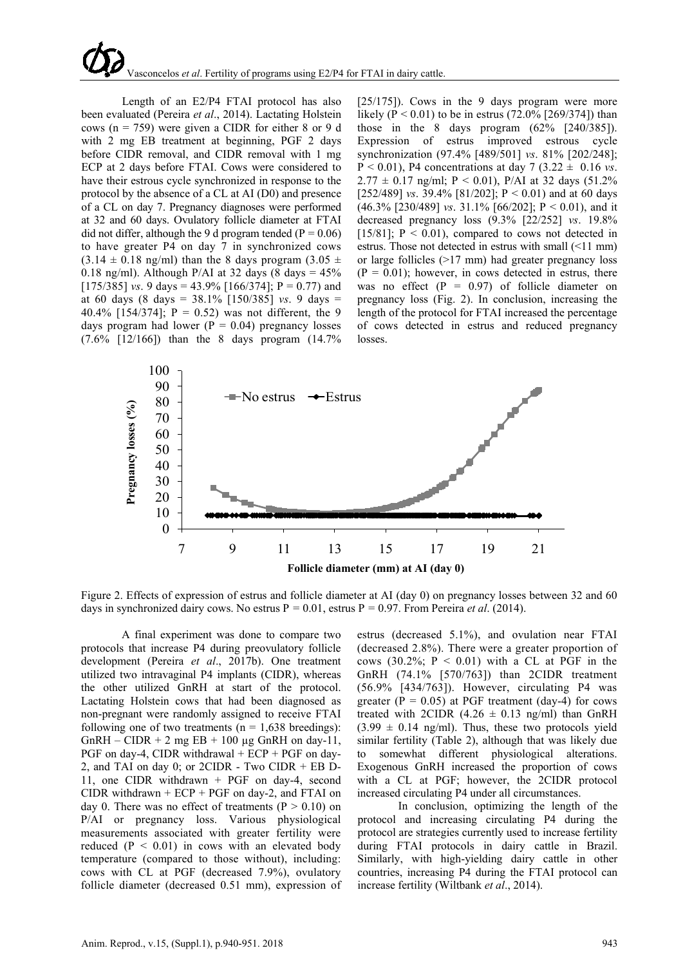# Vasconcelos *et al*. Fertility of programs using E2/P4 for FTAI in dairy cattle.

Length of an E2/P4 FTAI protocol has also been evaluated (Pereira *et al*., 2014). Lactating Holstein cows ( $n = 759$ ) were given a CIDR for either 8 or 9 d with 2 mg EB treatment at beginning, PGF 2 days before CIDR removal, and CIDR removal with 1 mg ECP at 2 days before FTAI. Cows were considered to have their estrous cycle synchronized in response to the protocol by the absence of a CL at AI (D0) and presence of a CL on day 7. Pregnancy diagnoses were performed at 32 and 60 days. Ovulatory follicle diameter at FTAI did not differ, although the 9 d program tended ( $P = 0.06$ ) to have greater P4 on day 7 in synchronized cows  $(3.14 \pm 0.18 \text{ ng/ml})$  than the 8 days program  $(3.05 \pm 1.05 \text{ m})$ 0.18 ng/ml). Although P/AI at 32 days (8 days  $= 45\%$ [175/385] *vs*. 9 days = 43.9% [166/374];  $P = 0.77$  and at 60 days (8 days = 38.1% [150/385] *vs*. 9 days = 40.4% [154/374];  $P = 0.52$ ) was not different, the 9 days program had lower ( $P = 0.04$ ) pregnancy losses (7.6% [12/166]) than the 8 days program (14.7%

[25/175]). Cows in the 9 days program were more likely (P < 0.01) to be in estrus (72.0% [269/374]) than those in the 8 days program  $(62\%$   $[240/385]$ ). Expression of estrus improved estrous cycle synchronization (97.4% [489/501] *vs*. 81% [202/248];  $P < 0.01$ ), P4 concentrations at day 7 (3.22  $\pm$  0.16 *vs*.  $2.77 \pm 0.17$  ng/ml; P < 0.01), P/AI at 32 days (51.2% [252/489] *vs*. 39.4% [81/202]; P < 0.01) and at 60 days (46.3% [230/489] *vs*. 31.1% [66/202]; P < 0.01), and it decreased pregnancy loss (9.3% [22/252] *vs*. 19.8% [15/81];  $P < 0.01$ ), compared to cows not detected in estrus. Those not detected in estrus with small (<11 mm) or large follicles (>17 mm) had greater pregnancy loss  $(P = 0.01)$ ; however, in cows detected in estrus, there was no effect  $(P = 0.97)$  of follicle diameter on pregnancy loss (Fig. 2). In conclusion, increasing the length of the protocol for FTAI increased the percentage of cows detected in estrus and reduced pregnancy losses.



Figure 2. Effects of expression of estrus and follicle diameter at AI (day 0) on pregnancy losses between 32 and 60 days in synchronized dairy cows. No estrus P *=* 0.01, estrus P *=* 0.97. From Pereira *et al*. (2014).

A final experiment was done to compare two protocols that increase P4 during preovulatory follicle development (Pereira *et al*., 2017b). One treatment utilized two intravaginal P4 implants (CIDR), whereas the other utilized GnRH at start of the protocol. Lactating Holstein cows that had been diagnosed as non-pregnant were randomly assigned to receive FTAI following one of two treatments ( $n = 1,638$  breedings): GnRH – CIDR + 2 mg EB + 100  $\mu$ g GnRH on day-11, PGF on day-4, CIDR withdrawal + ECP + PGF on day-2, and TAI on day 0; or 2CIDR - Two CIDR + EB D-11, one CIDR withdrawn + PGF on day-4, second CIDR withdrawn  $+ ECP + PGF$  on day-2, and FTAI on day 0. There was no effect of treatments ( $P > 0.10$ ) on P/AI or pregnancy loss. Various physiological measurements associated with greater fertility were reduced  $(P < 0.01)$  in cows with an elevated body temperature (compared to those without), including: cows with CL at PGF (decreased 7.9%), ovulatory follicle diameter (decreased 0.51 mm), expression of estrus (decreased 5.1%), and ovulation near FTAI (decreased 2.8%). There were a greater proportion of cows (30.2%;  $P < 0.01$ ) with a CL at PGF in the GnRH (74.1% [570/763]) than 2CIDR treatment (56.9% [434/763]). However, circulating P4 was greater ( $P = 0.05$ ) at PGF treatment (day-4) for cows treated with 2CIDR  $(4.26 \pm 0.13 \text{ ng/ml})$  than GnRH  $(3.99 \pm 0.14 \text{ ng/ml})$ . Thus, these two protocols yield similar fertility (Table 2), although that was likely due to somewhat different physiological alterations. Exogenous GnRH increased the proportion of cows with a CL at PGF; however, the 2CIDR protocol increased circulating P4 under all circumstances.

In conclusion, optimizing the length of the protocol and increasing circulating P4 during the protocol are strategies currently used to increase fertility during FTAI protocols in dairy cattle in Brazil. Similarly, with high-yielding dairy cattle in other countries, increasing P4 during the FTAI protocol can increase fertility (Wiltbank *et al*., 2014).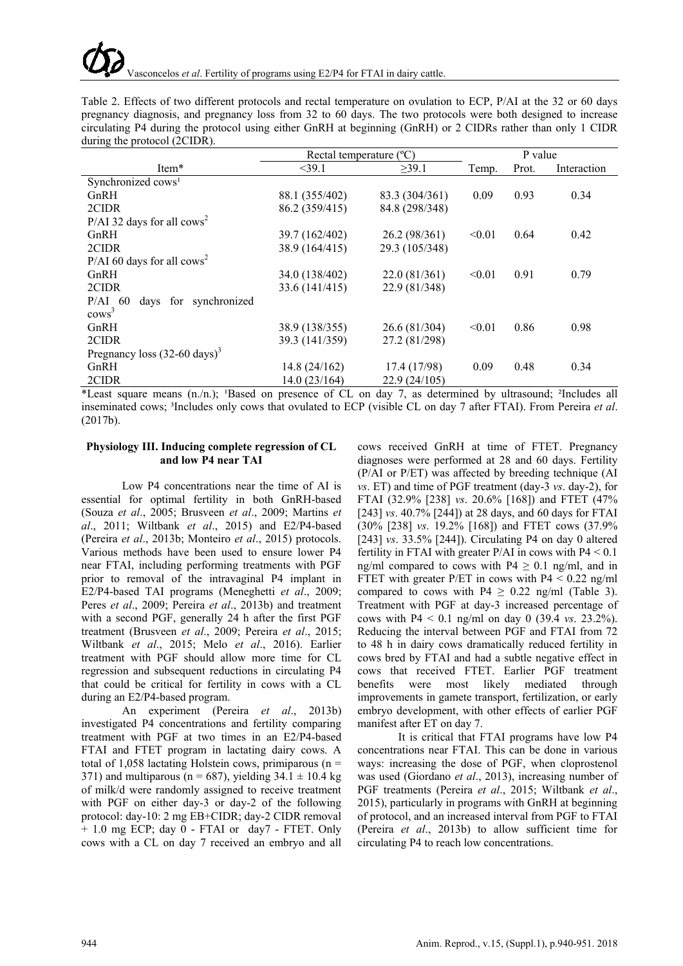Table 2. Effects of two different protocols and rectal temperature on ovulation to ECP, P/AI at the 32 or 60 days pregnancy diagnosis, and pregnancy loss from 32 to 60 days. The two protocols were both designed to increase circulating P4 during the protocol using either GnRH at beginning (GnRH) or 2 CIDRs rather than only 1 CIDR during the protocol (2CIDR).

|                                          | Rectal temperature (°C) |                |        | P value |             |
|------------------------------------------|-------------------------|----------------|--------|---------|-------------|
| Item*                                    | $<$ 39.1                | $\geq 39.1$    | Temp.  | Prot.   | Interaction |
| Synchronized cows <sup>1</sup>           |                         |                |        |         |             |
| GnRH                                     | 88.1 (355/402)          | 83.3 (304/361) | 0.09   | 0.93    | 0.34        |
| 2CIDR                                    | 86.2 (359/415)          | 84.8 (298/348) |        |         |             |
| P/AI 32 days for all $\cos^2$            |                         |                |        |         |             |
| GnRH                                     | 39.7 (162/402)          | 26.2 (98/361)  | < 0.01 | 0.64    | 0.42        |
| 2CIDR                                    | 38.9 (164/415)          | 29.3 (105/348) |        |         |             |
| $P/AI$ 60 days for all cows <sup>2</sup> |                         |                |        |         |             |
| GnRH                                     | 34.0 (138/402)          | 22.0(81/361)   | < 0.01 | 0.91    | 0.79        |
| 2CIDR                                    | 33.6 (141/415)          | 22.9 (81/348)  |        |         |             |
| $P/AI$ 60<br>days for synchronized       |                         |                |        |         |             |
| cows <sup>3</sup>                        |                         |                |        |         |             |
| GnRH                                     | 38.9 (138/355)          | 26.6 (81/304)  | < 0.01 | 0.86    | 0.98        |
| 2CIDR                                    | 39.3 (141/359)          | 27.2 (81/298)  |        |         |             |
| Pregnancy loss $(32-60 \text{ days})^3$  |                         |                |        |         |             |
| GnRH                                     | 14.8(24/162)            | 17.4 (17/98)   | 0.09   | 0.48    | 0.34        |
| 2CIDR                                    | 14.0(23/164)            | 22.9(24/105)   |        |         |             |

\*Least square means (n./n.); <sup>1</sup>Based on presence of CL on day 7, as determined by ultrasound; <sup>2</sup>Includes all inseminated cows; ³Includes only cows that ovulated to ECP (visible CL on day 7 after FTAI). From Pereira *et al*. (2017b).

# **Physiology III. Inducing complete regression of CL and low P4 near TAI**

Low P4 concentrations near the time of AI is essential for optimal fertility in both GnRH-based (Souza *et al*., 2005; Brusveen *et al*., 2009; Martins *et al*., 2011; Wiltbank *et al*., 2015) and E2/P4-based (Pereira *et al*., 2013b; Monteiro *et al*., 2015) protocols. Various methods have been used to ensure lower P4 near FTAI, including performing treatments with PGF prior to removal of the intravaginal P4 implant in E2/P4-based TAI programs (Meneghetti *et al*., 2009; Peres *et al*., 2009; Pereira *et al*., 2013b) and treatment with a second PGF, generally 24 h after the first PGF treatment (Brusveen *et al*., 2009; Pereira *et al*., 2015; Wiltbank *et al*., 2015; Melo *et al*., 2016). Earlier treatment with PGF should allow more time for CL regression and subsequent reductions in circulating P4 that could be critical for fertility in cows with a CL during an E2/P4-based program.

An experiment (Pereira *et al*., 2013b) investigated P4 concentrations and fertility comparing treatment with PGF at two times in an E2/P4-based FTAI and FTET program in lactating dairy cows. A total of 1,058 lactating Holstein cows, primiparous ( $n =$ 371) and multiparous ( $n = 687$ ), yielding 34.1  $\pm$  10.4 kg of milk/d were randomly assigned to receive treatment with PGF on either day-3 or day-2 of the following protocol: day-10: 2 mg EB+CIDR; day-2 CIDR removal + 1.0 mg ECP; day 0 - FTAI or day7 - FTET. Only cows with a CL on day 7 received an embryo and all

cows received GnRH at time of FTET. Pregnancy diagnoses were performed at 28 and 60 days. Fertility (P/AI or P/ET) was affected by breeding technique (AI *vs*. ET) and time of PGF treatment (day-3 *vs*. day-2), for FTAI (32.9% [238] *vs*. 20.6% [168]) and FTET (47% [243] *vs*. 40.7% [244]) at 28 days, and 60 days for FTAI (30% [238] *vs*. 19.2% [168]) and FTET cows (37.9% [243] *vs*. 33.5% [244]). Circulating P4 on day 0 altered fertility in FTAI with greater  $P/AI$  in cows with  $P4 \le 0.1$ ng/ml compared to cows with  $P4 \geq 0.1$  ng/ml, and in FTET with greater P/ET in cows with  $P4 \le 0.22$  ng/ml compared to cows with P4  $\geq$  0.22 ng/ml (Table 3). Treatment with PGF at day-3 increased percentage of cows with P4 < 0.1 ng/ml on day 0 (39.4 *vs*. 23.2%). Reducing the interval between PGF and FTAI from 72 to 48 h in dairy cows dramatically reduced fertility in cows bred by FTAI and had a subtle negative effect in cows that received FTET. Earlier PGF treatment benefits were most likely mediated through improvements in gamete transport, fertilization, or early embryo development, with other effects of earlier PGF manifest after ET on day 7.

It is critical that FTAI programs have low P4 concentrations near FTAI. This can be done in various ways: increasing the dose of PGF, when cloprostenol was used (Giordano *et al*., 2013), increasing number of PGF treatments (Pereira *et al*., 2015; Wiltbank *et al*., 2015), particularly in programs with GnRH at beginning of protocol, and an increased interval from PGF to FTAI (Pereira *et al*., 2013b) to allow sufficient time for circulating P4 to reach low concentrations.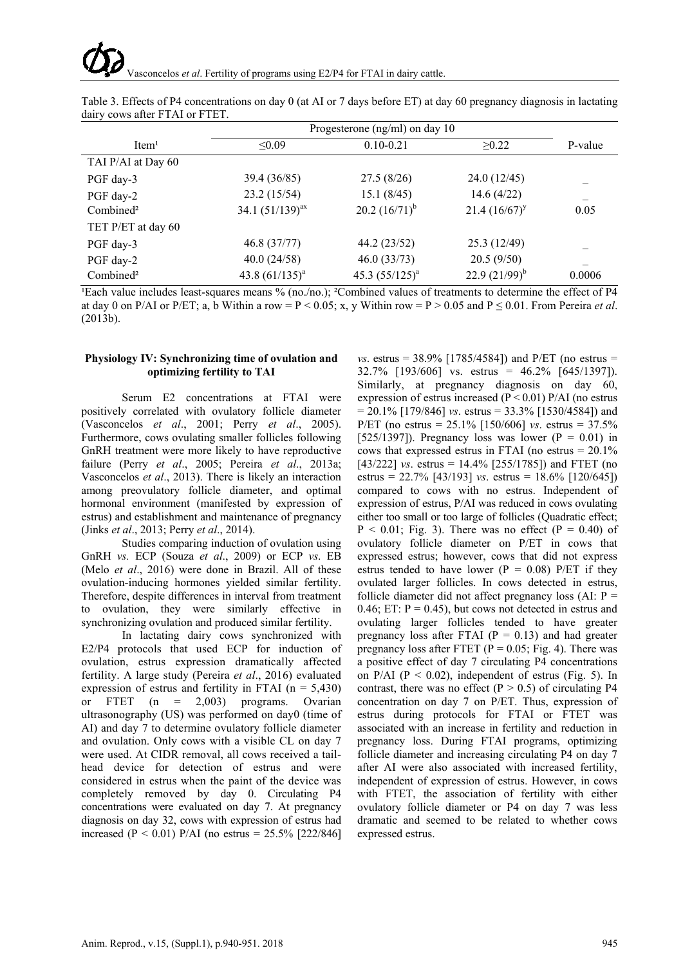|                       | Progesterone ( $ng/ml$ ) on day 10 |                    |                    |         |
|-----------------------|------------------------------------|--------------------|--------------------|---------|
| Item <sup>1</sup>     | < 0.09                             | $0.10 - 0.21$      | >0.22              | P-value |
| TAI P/AI at Day 60    |                                    |                    |                    |         |
| PGF day-3             | 39.4 (36/85)                       | 27.5(8/26)         | 24.0(12/45)        |         |
| PGF day-2             | 23.2 (15/54)                       | 15.1(8/45)         | 14.6(4/22)         |         |
| Combined <sup>2</sup> | 34.1 $(51/139)^{ax}$               | 20.2 $(16/71)^{b}$ | $21.4(16/67)^y$    | 0.05    |
| TET P/ET at day 60    |                                    |                    |                    |         |
| PGF day-3             | 46.8 (37/77)                       | 44.2 (23/52)       | 25.3(12/49)        |         |
| PGF day-2             | 40.0(24/58)                        | 46.0(33/73)        | 20.5(9/50)         |         |
| Combined <sup>2</sup> | 43.8 $(61/135)^a$                  | 45.3 $(55/125)^a$  | 22.9 $(21/99)^{b}$ | 0.0006  |

Table 3. Effects of P4 concentrations on day 0 (at AI or 7 days before ET) at day 60 pregnancy diagnosis in lactating dairy cows after FTAI or FTET.

<sup>1</sup>Each value includes least-squares means % (no./no.); <sup>2</sup>Combined values of treatments to determine the effect of P4 at day 0 on P/AI or P/ET; a, b Within a row =  $P$  < 0.05; x, y Within row =  $P$  > 0.05 and  $P \le 0.01$ . From Pereira *et al.* (2013b).

# **Physiology IV: Synchronizing time of ovulation and optimizing fertility to TAI**

Serum E2 concentrations at FTAI were positively correlated with ovulatory follicle diameter (Vasconcelos *et al*., 2001; Perry *et al*., 2005). Furthermore, cows ovulating smaller follicles following GnRH treatment were more likely to have reproductive failure (Perry *et al*., 2005; Pereira *et al*., 2013a; Vasconcelos *et al*., 2013). There is likely an interaction among preovulatory follicle diameter, and optimal hormonal environment (manifested by expression of estrus) and establishment and maintenance of pregnancy (Jinks *et al*., 2013; Perry *et al*., 2014).

Studies comparing induction of ovulation using GnRH *vs.* ECP (Souza *et al*., 2009) or ECP *vs*. EB (Melo *et al*., 2016) were done in Brazil. All of these ovulation-inducing hormones yielded similar fertility. Therefore, despite differences in interval from treatment to ovulation, they were similarly effective in synchronizing ovulation and produced similar fertility.

In lactating dairy cows synchronized with E2/P4 protocols that used ECP for induction of ovulation, estrus expression dramatically affected fertility. A large study (Pereira *et al*., 2016) evaluated expression of estrus and fertility in FTAI ( $n = 5,430$ ) or FTET (n = 2,003) programs. Ovarian ultrasonography (US) was performed on day0 (time of AI) and day 7 to determine ovulatory follicle diameter and ovulation. Only cows with a visible CL on day 7 were used. At CIDR removal, all cows received a tailhead device for detection of estrus and were considered in estrus when the paint of the device was completely removed by day 0. Circulating P4 concentrations were evaluated on day 7. At pregnancy diagnosis on day 32, cows with expression of estrus had increased (P < 0.01) P/AI (no estrus =  $25.5\%$  [222/846]

*vs*. estrus = 38.9% [1785/4584]) and P/ET (no estrus =  $32.7\%$  [193/606] vs. estrus = 46.2% [645/1397]). Similarly, at pregnancy diagnosis on day 60, expression of estrus increased  $(P < 0.01)$  P/AI (no estrus  $= 20.1\%$  [179/846] *vs.* estrus  $= 33.3\%$  [1530/4584]) and P/ET (no estrus = 25.1% [150/606] *vs*. estrus = 37.5% [525/1397]). Pregnancy loss was lower ( $P = 0.01$ ) in cows that expressed estrus in FTAI (no estrus  $= 20.1\%$ ) [43/222] *vs*. estrus = 14.4% [255/1785]) and FTET (no estrus = 22.7% [43/193] *vs*. estrus = 18.6% [120/645]) compared to cows with no estrus. Independent of expression of estrus, P/AI was reduced in cows ovulating either too small or too large of follicles (Quadratic effect;  $P < 0.01$ ; Fig. 3). There was no effect ( $P = 0.40$ ) of ovulatory follicle diameter on P/ET in cows that expressed estrus; however, cows that did not express estrus tended to have lower ( $P = 0.08$ ) P/ET if they ovulated larger follicles. In cows detected in estrus, follicle diameter did not affect pregnancy loss (AI:  $P =$ 0.46; ET:  $P = 0.45$ , but cows not detected in estrus and ovulating larger follicles tended to have greater pregnancy loss after FTAI ( $P = 0.13$ ) and had greater pregnancy loss after FTET ( $\dot{P} = 0.05$ ; Fig. 4). There was a positive effect of day 7 circulating P4 concentrations on  $P/AI$  ( $P < 0.02$ ), independent of estrus (Fig. 5). In contrast, there was no effect ( $P > 0.5$ ) of circulating P4 concentration on day 7 on P/ET. Thus, expression of estrus during protocols for FTAI or FTET was associated with an increase in fertility and reduction in pregnancy loss. During FTAI programs, optimizing follicle diameter and increasing circulating P4 on day 7 after AI were also associated with increased fertility, independent of expression of estrus. However, in cows with FTET, the association of fertility with either ovulatory follicle diameter or P4 on day 7 was less dramatic and seemed to be related to whether cows expressed estrus.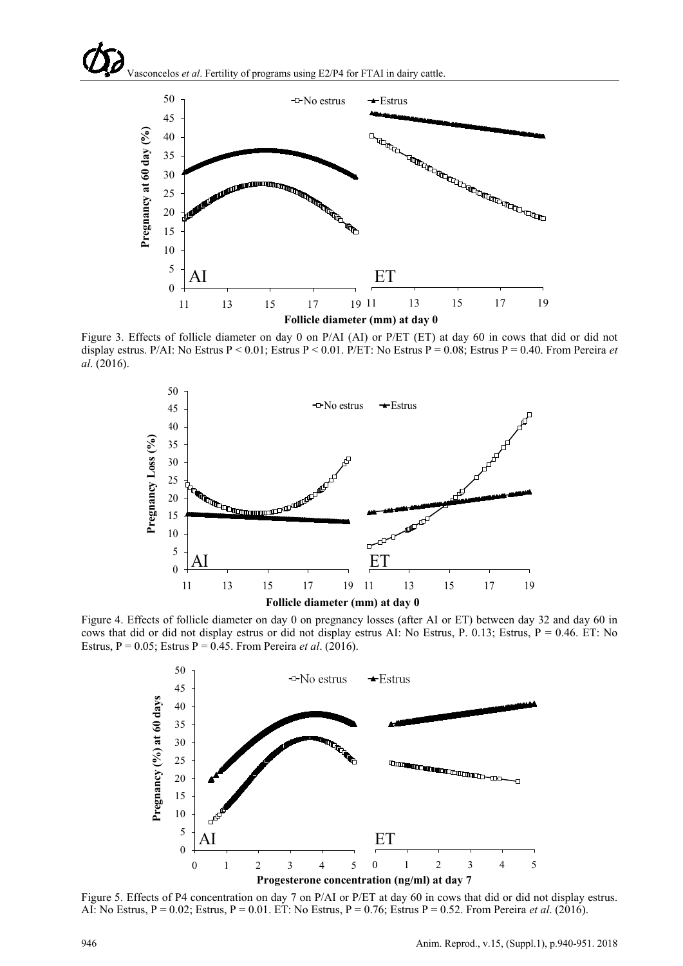



Figure 3. Effects of follicle diameter on day 0 on P/AI (AI) or P/ET (ET) at day 60 in cows that did or did not display estrus. P/AI: No Estrus P < 0.01; Estrus P < 0.01. P/ET: No Estrus P = 0.08; Estrus P = 0.40. From Pereira *et al*. (2016).



Figure 4. Effects of follicle diameter on day 0 on pregnancy losses (after AI or ET) between day 32 and day 60 in cows that did or did not display estrus or did not display estrus AI: No Estrus, P. 0.13; Estrus, P = 0.46. ET: No Estrus, P = 0.05; Estrus P = 0.45. From Pereira *et al*. (2016).



Figure 5. Effects of P4 concentration on day 7 on P/AI or P/ET at day 60 in cows that did or did not display estrus. AI: No Estrus, P = 0.02; Estrus, P = 0.01. ET: No Estrus, P = 0.76; Estrus P = 0.52. From Pereira *et al*. (2016).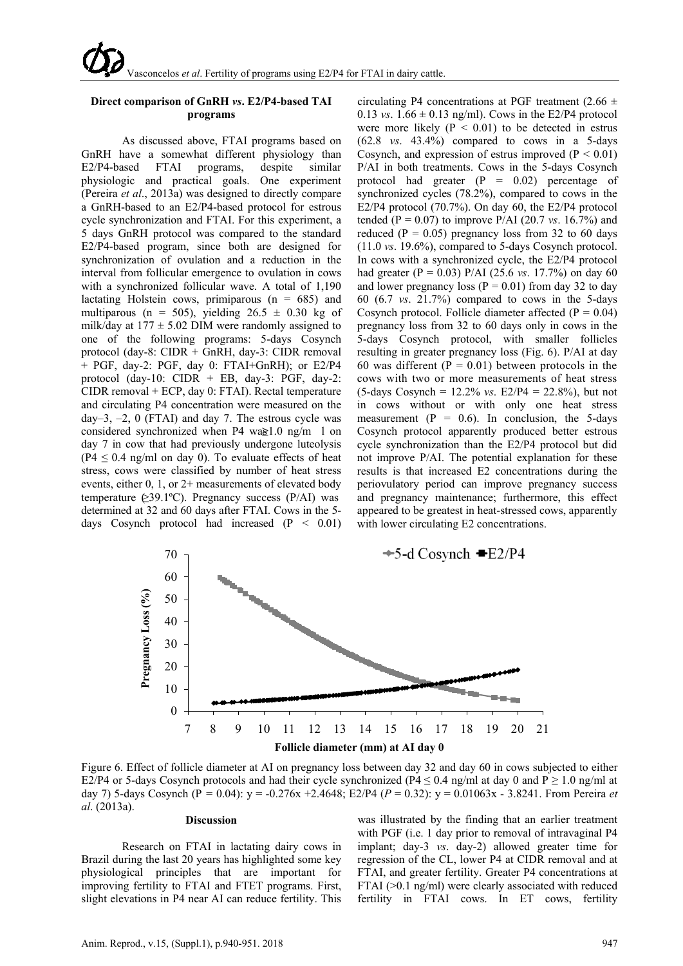## **Direct comparison of GnRH** *vs***. E2/P4-based TAI programs**

As discussed above, FTAI programs based on GnRH have a somewhat different physiology than E2/P4-based FTAI programs, despite similar physiologic and practical goals. One experiment (Pereira *et al*., 2013a) was designed to directly compare a GnRH-based to an E2/P4-based protocol for estrous cycle synchronization and FTAI. For this experiment, a 5 days GnRH protocol was compared to the standard E2/P4-based program, since both are designed for synchronization of ovulation and a reduction in the interval from follicular emergence to ovulation in cows with a synchronized follicular wave. A total of 1,190 lactating Holstein cows, primiparous  $(n = 685)$  and multiparous (n = 505), yielding  $26.5 \pm 0.30$  kg of milk/day at  $177 \pm 5.02$  DIM were randomly assigned to one of the following programs: 5-days Cosynch protocol (day-8: CIDR + GnRH, day-3: CIDR removal + PGF, day-2: PGF, day 0: FTAI+GnRH); or E2/P4 protocol (day-10:  $CIDR + EB$ , day-3: PGF, day-2: CIDR removal + ECP, day 0: FTAI). Rectal temperature and circulating P4 concentration were measured on the day–3,  $-2$ , 0 (FTAI) and day 7. The estrous cycle was considered synchronized when P4 wa $\ge 1.0$  ng/m l on day 7 in cow that had previously undergone luteolysis  $(P4 \le 0.4$  ng/ml on day 0). To evaluate effects of heat stress, cows were classified by number of heat stress events, either 0, 1, or 2+ measurements of elevated body temperature  $\&$ 39.1°C). Pregnancy success (P/AI) was determined at 32 and 60 days after FTAI. Cows in the 5 days Cosynch protocol had increased  $(P < 0.01)$ 

circulating P4 concentrations at PGF treatment (2.66  $\pm$ 0.13 *vs*.  $1.66 \pm 0.13$  ng/ml). Cows in the E2/P4 protocol were more likely  $(P < 0.01)$  to be detected in estrus (62.8 *vs*. 43.4%) compared to cows in a 5-days Cosynch, and expression of estrus improved  $(P < 0.01)$ P/AI in both treatments. Cows in the 5-days Cosynch protocol had greater  $(P = 0.02)$  percentage of synchronized cycles (78.2%), compared to cows in the E2/P4 protocol (70.7%). On day 60, the E2/P4 protocol tended ( $P = 0.07$ ) to improve  $P/AI$  (20.7 *vs.* 16.7%) and reduced ( $P = 0.05$ ) pregnancy loss from 32 to 60 days (11.0 *vs*. 19.6%), compared to 5-days Cosynch protocol. In cows with a synchronized cycle, the E2/P4 protocol had greater (P = 0.03) P/AI (25.6 *vs*. 17.7%) on day 60 and lower pregnancy loss ( $P = 0.01$ ) from day 32 to day 60 (6.7 *vs*. 21.7%) compared to cows in the 5-days Cosynch protocol. Follicle diameter affected  $(P = 0.04)$ pregnancy loss from 32 to 60 days only in cows in the 5-days Cosynch protocol, with smaller follicles resulting in greater pregnancy loss (Fig. 6). P/AI at day 60 was different ( $P = 0.01$ ) between protocols in the cows with two or more measurements of heat stress (5-days Cosynch = 12.2% *vs*. E2/P4 = 22.8%), but not in cows without or with only one heat stress measurement ( $P = 0.6$ ). In conclusion, the 5-days Cosynch protocol apparently produced better estrous cycle synchronization than the E2/P4 protocol but did not improve P/AI. The potential explanation for these results is that increased E2 concentrations during the periovulatory period can improve pregnancy success and pregnancy maintenance; furthermore, this effect appeared to be greatest in heat-stressed cows, apparently with lower circulating E2 concentrations.



Figure 6. Effect of follicle diameter at AI on pregnancy loss between day 32 and day 60 in cows subjected to either E2/P4 or 5-days Cosynch protocols and had their cycle synchronized (P4  $\leq$  0.4 ng/ml at day 0 and P  $\geq$  1.0 ng/ml at day 7) 5-days Cosynch (P *=* 0.04): y = -0.276x +2.4648; E2/P4 (*P* = 0.32): y = 0.01063x - 3.8241. From Pereira *et al*. (2013a).

#### **Discussion**

Research on FTAI in lactating dairy cows in Brazil during the last 20 years has highlighted some key physiological principles that are important for improving fertility to FTAI and FTET programs. First, slight elevations in P4 near AI can reduce fertility. This

was illustrated by the finding that an earlier treatment with PGF (i.e. 1 day prior to removal of intravaginal P4 implant; day-3 *vs*. day-2) allowed greater time for regression of the CL, lower P4 at CIDR removal and at FTAI, and greater fertility. Greater P4 concentrations at FTAI (>0.1 ng/ml) were clearly associated with reduced fertility in FTAI cows. In ET cows, fertility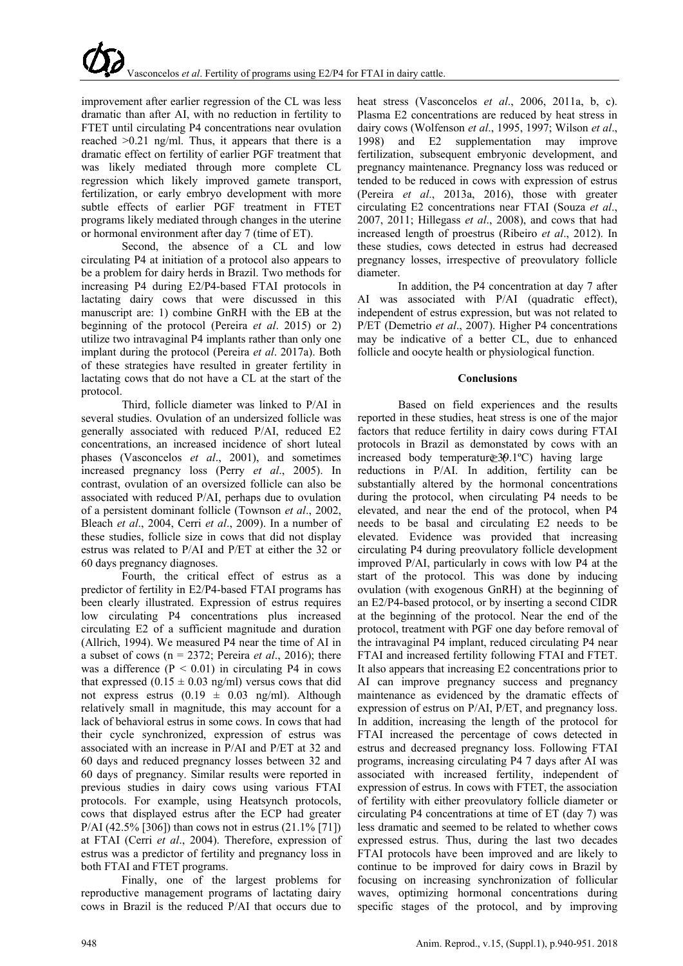improvement after earlier regression of the CL was less dramatic than after AI, with no reduction in fertility to FTET until circulating P4 concentrations near ovulation reached >0.21 ng/ml. Thus, it appears that there is a dramatic effect on fertility of earlier PGF treatment that was likely mediated through more complete CL regression which likely improved gamete transport, fertilization, or early embryo development with more subtle effects of earlier PGF treatment in FTET programs likely mediated through changes in the uterine or hormonal environment after day 7 (time of ET).

Second, the absence of a CL and low circulating P4 at initiation of a protocol also appears to be a problem for dairy herds in Brazil. Two methods for increasing P4 during E2/P4-based FTAI protocols in lactating dairy cows that were discussed in this manuscript are: 1) combine GnRH with the EB at the beginning of the protocol (Pereira *et al*. 2015) or 2) utilize two intravaginal P4 implants rather than only one implant during the protocol (Pereira *et al*. 2017a). Both of these strategies have resulted in greater fertility in lactating cows that do not have a CL at the start of the protocol.

Third, follicle diameter was linked to P/AI in several studies. Ovulation of an undersized follicle was generally associated with reduced P/AI, reduced E2 concentrations, an increased incidence of short luteal phases (Vasconcelos *et al*., 2001), and sometimes increased pregnancy loss (Perry *et al*., 2005). In contrast, ovulation of an oversized follicle can also be associated with reduced P/AI, perhaps due to ovulation of a persistent dominant follicle (Townson *et al*., 2002, Bleach *et al*., 2004, Cerri *et al*., 2009). In a number of these studies, follicle size in cows that did not display estrus was related to P/AI and P/ET at either the 32 or 60 days pregnancy diagnoses.

Fourth, the critical effect of estrus as a predictor of fertility in E2/P4-based FTAI programs has been clearly illustrated. Expression of estrus requires low circulating P4 concentrations plus increased circulating E2 of a sufficient magnitude and duration (Allrich, 1994). We measured P4 near the time of AI in a subset of cows (n = 2372; Pereira *et al*., 2016); there was a difference  $(P < 0.01)$  in circulating P4 in cows that expressed  $(0.15 \pm 0.03 \text{ ng/ml})$  versus cows that did not express estrus  $(0.19 \pm 0.03 \text{ ng/ml})$ . Although relatively small in magnitude, this may account for a lack of behavioral estrus in some cows. In cows that had their cycle synchronized, expression of estrus was associated with an increase in P/AI and P/ET at 32 and 60 days and reduced pregnancy losses between 32 and 60 days of pregnancy. Similar results were reported in previous studies in dairy cows using various FTAI protocols. For example, using Heatsynch protocols, cows that displayed estrus after the ECP had greater P/AI (42.5% [306]) than cows not in estrus (21.1% [71]) at FTAI (Cerri *et al*., 2004). Therefore, expression of estrus was a predictor of fertility and pregnancy loss in both FTAI and FTET programs.

Finally, one of the largest problems for reproductive management programs of lactating dairy cows in Brazil is the reduced P/AI that occurs due to heat stress (Vasconcelos *et al*., 2006, 2011a, b, c). Plasma E2 concentrations are reduced by heat stress in dairy cows (Wolfenson *et al*., 1995, 1997; Wilson *et al*., 1998) and E2 supplementation may improve fertilization, subsequent embryonic development, and pregnancy maintenance. Pregnancy loss was reduced or tended to be reduced in cows with expression of estrus (Pereira *et al*., 2013a, 2016), those with greater circulating E2 concentrations near FTAI (Souza *et al*., 2007, 2011; Hillegass *et al*., 2008), and cows that had increased length of proestrus (Ribeiro *et al*., 2012). In these studies, cows detected in estrus had decreased pregnancy losses, irrespective of preovulatory follicle diameter.

In addition, the P4 concentration at day 7 after AI was associated with P/AI (quadratic effect), independent of estrus expression, but was not related to P/ET (Demetrio *et al*., 2007). Higher P4 concentrations may be indicative of a better CL, due to enhanced follicle and oocyte health or physiological function.

# **Conclusions**

Based on field experiences and the results reported in these studies, heat stress is one of the major factors that reduce fertility in dairy cows during FTAI protocols in Brazil as demonstated by cows with an  $increased$  body temperature 30.1°C) having large reductions in P/AI. In addition, fertility can be substantially altered by the hormonal concentrations during the protocol, when circulating P4 needs to be elevated, and near the end of the protocol, when P4 needs to be basal and circulating E2 needs to be elevated. Evidence was provided that increasing circulating P4 during preovulatory follicle development improved P/AI, particularly in cows with low P4 at the start of the protocol. This was done by inducing ovulation (with exogenous GnRH) at the beginning of an E2/P4-based protocol, or by inserting a second CIDR at the beginning of the protocol. Near the end of the protocol, treatment with PGF one day before removal of the intravaginal P4 implant, reduced circulating P4 near FTAI and increased fertility following FTAI and FTET. It also appears that increasing E2 concentrations prior to AI can improve pregnancy success and pregnancy maintenance as evidenced by the dramatic effects of expression of estrus on P/AI, P/ET, and pregnancy loss. In addition, increasing the length of the protocol for FTAI increased the percentage of cows detected in estrus and decreased pregnancy loss. Following FTAI programs, increasing circulating P4 7 days after AI was associated with increased fertility, independent of expression of estrus. In cows with FTET, the association of fertility with either preovulatory follicle diameter or circulating P4 concentrations at time of ET (day 7) was less dramatic and seemed to be related to whether cows expressed estrus. Thus, during the last two decades FTAI protocols have been improved and are likely to continue to be improved for dairy cows in Brazil by focusing on increasing synchronization of follicular waves, optimizing hormonal concentrations during specific stages of the protocol, and by improving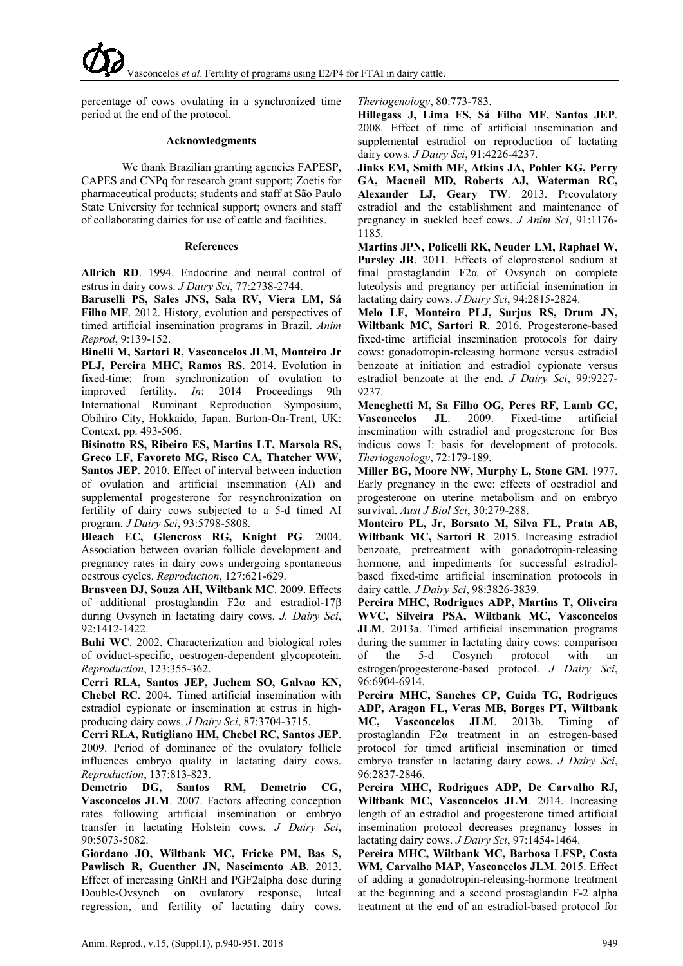percentage of cows ovulating in a synchronized time period at the end of the protocol.

#### **Acknowledgments**

We thank Brazilian granting agencies FAPESP, CAPES and CNPq for research grant support; Zoetis for pharmaceutical products; students and staff at São Paulo State University for technical support; owners and staff of collaborating dairies for use of cattle and facilities.

#### **References**

**Allrich RD**. 1994. Endocrine and neural control of estrus in dairy cows. *J Dairy Sci*, 77:2738-2744.

**Baruselli PS, Sales JNS, Sala RV, Viera LM, Sá Filho MF**. 2012. History, evolution and perspectives of timed artificial insemination programs in Brazil. *Anim Reprod*, 9:139-152.

**Binelli M, Sartori R, Vasconcelos JLM, Monteiro Jr PLJ, Pereira MHC, Ramos RS**. 2014. Evolution in fixed-time: from synchronization of ovulation to improved fertility. *In*: 2014 Proceedings 9th International Ruminant Reproduction Symposium, Obihiro City, Hokkaido, Japan. Burton-On-Trent, UK: Context. pp. 493-506.

**Bisinotto RS, Ribeiro ES, Martins LT, Marsola RS, Greco LF, Favoreto MG, Risco CA, Thatcher WW, Santos JEP**. 2010. Effect of interval between induction of ovulation and artificial insemination (AI) and supplemental progesterone for resynchronization on fertility of dairy cows subjected to a 5-d timed AI program. *J Dairy Sci*, 93:5798-5808.

**Bleach EC, Glencross RG, Knight PG**. 2004. Association between ovarian follicle development and pregnancy rates in dairy cows undergoing spontaneous oestrous cycles. *Reproduction*, 127:621-629.

**Brusveen DJ, Souza AH, Wiltbank MC**. 2009. Effects of additional prostaglandin F2α and estradiol-17β during Ovsynch in lactating dairy cows. *J. Dairy Sci*, 92:1412-1422.

**Buhi WC**. 2002. Characterization and biological roles of oviduct-specific, oestrogen-dependent glycoprotein. *Reproduction*, 123:355-362.

**Cerri RLA, Santos JEP, Juchem SO, Galvao KN, Chebel RC**. 2004. Timed artificial insemination with estradiol cypionate or insemination at estrus in highproducing dairy cows. *J Dairy Sci*, 87:3704-3715.

**Cerri RLA, Rutigliano HM, Chebel RC, Santos JEP**. 2009. Period of dominance of the ovulatory follicle influences embryo quality in lactating dairy cows. *Reproduction*, 137:813-823.

**Demetrio DG, Santos RM, Demetrio CG, Vasconcelos JLM**. 2007. Factors affecting conception rates following artificial insemination or embryo transfer in lactating Holstein cows. *J Dairy Sci*, 90:5073-5082.

**Giordano JO, Wiltbank MC, Fricke PM, Bas S, Pawlisch R, Guenther JN, Nascimento AB**. 2013. Effect of increasing GnRH and PGF2alpha dose during Double-Ovsynch on ovulatory response, luteal regression, and fertility of lactating dairy cows. *Theriogenology*, 80:773-783.

**Hillegass J, Lima FS, Sá Filho MF, Santos JEP**. 2008. Effect of time of artificial insemination and supplemental estradiol on reproduction of lactating dairy cows. *J Dairy Sci*, 91:4226-4237.

**Jinks EM, Smith MF, Atkins JA, Pohler KG, Perry GA, Macneil MD, Roberts AJ, Waterman RC, Alexander LJ, Geary TW**. 2013. Preovulatory estradiol and the establishment and maintenance of pregnancy in suckled beef cows. *J Anim Sci*, 91:1176- 1185.

**Martins JPN, Policelli RK, Neuder LM, Raphael W, Pursley JR**. 2011. Effects of cloprostenol sodium at final prostaglandin F2α of Ovsynch on complete luteolysis and pregnancy per artificial insemination in lactating dairy cows. *J Dairy Sci*, 94:2815-2824.

**Melo LF, Monteiro PLJ, Surjus RS, Drum JN, Wiltbank MC, Sartori R**. 2016. Progesterone-based fixed-time artificial insemination protocols for dairy cows: gonadotropin-releasing hormone versus estradiol benzoate at initiation and estradiol cypionate versus estradiol benzoate at the end. *J Dairy Sci*, 99:9227- 9237.

**Meneghetti M, Sa Filho OG, Peres RF, Lamb GC, Vasconcelos JL**. 2009. Fixed-time artificial insemination with estradiol and progesterone for Bos indicus cows I: basis for development of protocols. *Theriogenology*, 72:179-189.

**Miller BG, Moore NW, Murphy L, Stone GM**. 1977. Early pregnancy in the ewe: effects of oestradiol and progesterone on uterine metabolism and on embryo survival. *Aust J Biol Sci*, 30:279-288.

**Monteiro PL, Jr, Borsato M, Silva FL, Prata AB, Wiltbank MC, Sartori R**. 2015. Increasing estradiol benzoate, pretreatment with gonadotropin-releasing hormone, and impediments for successful estradiolbased fixed-time artificial insemination protocols in dairy cattle*. J Dairy Sci*, 98:3826-3839.

**Pereira MHC, Rodrigues ADP, Martins T, Oliveira WVC, Silveira PSA, Wiltbank MC, Vasconcelos JLM**. 2013a. Timed artificial insemination programs during the summer in lactating dairy cows: comparison of the 5-d Cosynch protocol with an estrogen/progesterone-based protocol. *J Dairy Sci*, 96:6904-6914.

**Pereira MHC, Sanches CP, Guida TG, Rodrigues ADP, Aragon FL, Veras MB, Borges PT, Wiltbank MC, Vasconcelos JLM**. 2013b. Timing of prostaglandin F2α treatment in an estrogen-based protocol for timed artificial insemination or timed embryo transfer in lactating dairy cows. *J Dairy Sci*, 96:2837-2846.

**Pereira MHC, Rodrigues ADP, De Carvalho RJ, Wiltbank MC, Vasconcelos JLM**. 2014. Increasing length of an estradiol and progesterone timed artificial insemination protocol decreases pregnancy losses in lactating dairy cows. *J Dairy Sci*, 97:1454-1464.

**Pereira MHC, Wiltbank MC, Barbosa LFSP, Costa WM, Carvalho MAP, Vasconcelos JLM**. 2015. Effect of adding a gonadotropin-releasing-hormone treatment at the beginning and a second prostaglandin F-2 alpha treatment at the end of an estradiol-based protocol for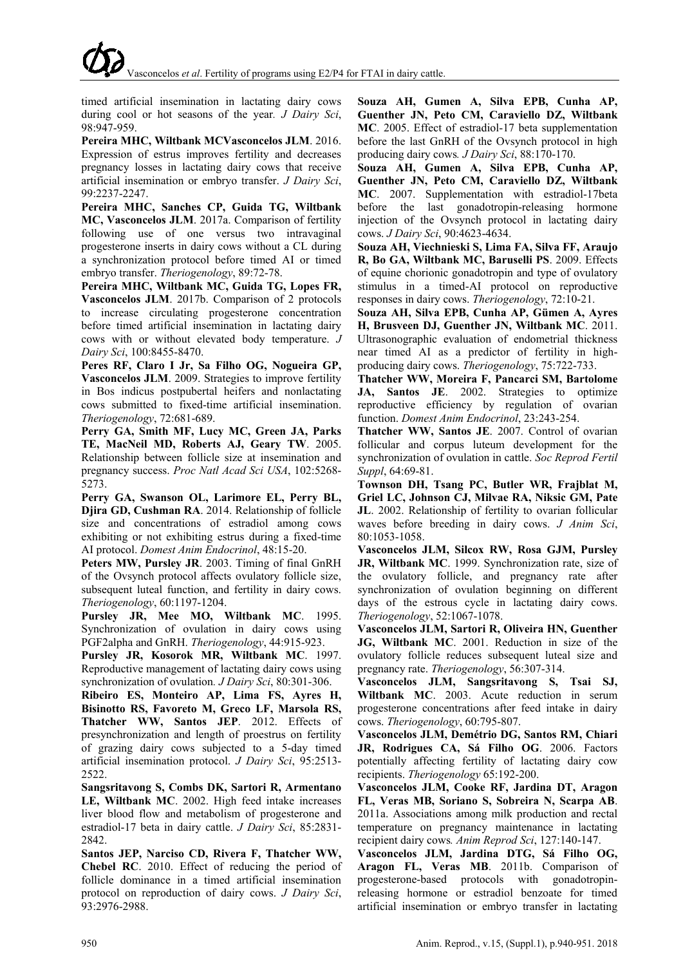timed artificial insemination in lactating dairy cows during cool or hot seasons of the year*. J Dairy Sci*, 98:947-959.

**Pereira MHC, Wiltbank MCVasconcelos JLM**. 2016. Expression of estrus improves fertility and decreases pregnancy losses in lactating dairy cows that receive artificial insemination or embryo transfer. *J Dairy Sci*, 99:2237-2247.

**Pereira MHC, Sanches CP, Guida TG, Wiltbank MC, Vasconcelos JLM**. 2017a. Comparison of fertility following use of one versus two intravaginal progesterone inserts in dairy cows without a CL during a synchronization protocol before timed AI or timed embryo transfer. *Theriogenology*, 89:72-78.

**Pereira MHC, Wiltbank MC, Guida TG, Lopes FR, Vasconcelos JLM**. 2017b. Comparison of 2 protocols to increase circulating progesterone concentration before timed artificial insemination in lactating dairy cows with or without elevated body temperature. *J Dairy Sci*, 100:8455-8470.

**Peres RF, Claro I Jr, Sa Filho OG, Nogueira GP, Vasconcelos JLM**. 2009. Strategies to improve fertility in Bos indicus postpubertal heifers and nonlactating cows submitted to fixed-time artificial insemination. *Theriogenology*, 72:681-689.

**Perry GA, Smith MF, Lucy MC, Green JA, Parks TE, MacNeil MD, Roberts AJ, Geary TW**. 2005. Relationship between follicle size at insemination and pregnancy success. *Proc Natl Acad Sci USA*, 102:5268- 5273.

**Perry GA, Swanson OL, Larimore EL, Perry BL, Djira GD, Cushman RA**. 2014. Relationship of follicle size and concentrations of estradiol among cows exhibiting or not exhibiting estrus during a fixed-time AI protocol. *Domest Anim Endocrinol*, 48:15-20.

**Peters MW, Pursley JR**. 2003. Timing of final GnRH of the Ovsynch protocol affects ovulatory follicle size, subsequent luteal function, and fertility in dairy cows. *Theriogenology*, 60:1197-1204.

**Pursley JR, Mee MO, Wiltbank MC**. 1995. Synchronization of ovulation in dairy cows using PGF2alpha and GnRH. *Theriogenology*, 44:915-923.

**Pursley JR, Kosorok MR, Wiltbank MC**. 1997. Reproductive management of lactating dairy cows using synchronization of ovulation*. J Dairy Sci*, 80:301-306.

**Ribeiro ES, Monteiro AP, Lima FS, Ayres H, Bisinotto RS, Favoreto M, Greco LF, Marsola RS, Thatcher WW, Santos JEP**. 2012. Effects of presynchronization and length of proestrus on fertility of grazing dairy cows subjected to a 5-day timed artificial insemination protocol. *J Dairy Sci*, 95:2513- 2522.

**Sangsritavong S, Combs DK, Sartori R, Armentano LE, Wiltbank MC**. 2002. High feed intake increases liver blood flow and metabolism of progesterone and estradiol-17 beta in dairy cattle. *J Dairy Sci*, 85:2831- 2842

**Santos JEP, Narciso CD, Rivera F, Thatcher WW, Chebel RC**. 2010. Effect of reducing the period of follicle dominance in a timed artificial insemination protocol on reproduction of dairy cows. *J Dairy Sci*, 93:2976-2988.

**Souza AH, Gumen A, Silva EPB, Cunha AP, Guenther JN, Peto CM, Caraviello DZ, Wiltbank MC**. 2005. Effect of estradiol-17 beta supplementation before the last GnRH of the Ovsynch protocol in high producing dairy cows*. J Dairy Sci*, 88:170-170.

**Souza AH, Gumen A, Silva EPB, Cunha AP, Guenther JN, Peto CM, Caraviello DZ, Wiltbank MC**. 2007. Supplementation with estradiol-17beta before the last gonadotropin-releasing hormone injection of the Ovsynch protocol in lactating dairy cows. *J Dairy Sci*, 90:4623-4634.

**Souza AH, Viechnieski S, Lima FA, Silva FF, Araujo R, Bo GA, Wiltbank MC, Baruselli PS**. 2009. Effects of equine chorionic gonadotropin and type of ovulatory stimulus in a timed-AI protocol on reproductive responses in dairy cows. *Theriogenology*, 72:10-21.

**Souza AH, Silva EPB, Cunha AP, Gümen A, Ayres H, Brusveen DJ, Guenther JN, Wiltbank MC**. 2011. Ultrasonographic evaluation of endometrial thickness near timed AI as a predictor of fertility in highproducing dairy cows. *Theriogenology*, 75:722-733.

**Thatcher WW, Moreira F, Pancarci SM, Bartolome JA, Santos JE**. 2002. Strategies to optimize reproductive efficiency by regulation of ovarian function. *Domest Anim Endocrinol*, 23:243-254.

**Thatcher WW, Santos JE**. 2007. Control of ovarian follicular and corpus luteum development for the synchronization of ovulation in cattle. *Soc Reprod Fertil Suppl*, 64:69-81.

**Townson DH, Tsang PC, Butler WR, Frajblat M, Griel LC, Johnson CJ, Milvae RA, Niksic GM, Pate JL**. 2002. Relationship of fertility to ovarian follicular waves before breeding in dairy cows. *J Anim Sci*, 80:1053-1058.

**Vasconcelos JLM, Silcox RW, Rosa GJM, Pursley JR, Wiltbank MC**. 1999. Synchronization rate, size of the ovulatory follicle, and pregnancy rate after synchronization of ovulation beginning on different days of the estrous cycle in lactating dairy cows. *Theriogenology*, 52:1067-1078.

**Vasconcelos JLM, Sartori R, Oliveira HN, Guenther JG, Wiltbank MC**. 2001. Reduction in size of the ovulatory follicle reduces subsequent luteal size and pregnancy rate. *Theriogenology*, 56:307-314.

**Vasconcelos JLM, Sangsritavong S, Tsai SJ, Wiltbank MC**. 2003. Acute reduction in serum progesterone concentrations after feed intake in dairy cows. *Theriogenology*, 60:795-807.

**Vasconcelos JLM, Demétrio DG, Santos RM, Chiari JR, Rodrigues CA, Sá Filho OG**. 2006. Factors potentially affecting fertility of lactating dairy cow recipients. *Theriogenology* 65:192-200.

**Vasconcelos JLM, Cooke RF, Jardina DT, Aragon FL, Veras MB, Soriano S, Sobreira N, Scarpa AB**. 2011a. Associations among milk production and rectal temperature on pregnancy maintenance in lactating recipient dairy cows*. Anim Reprod Sci*, 127:140-147.

**Vasconcelos JLM, Jardina DTG, Sá Filho OG, Aragon FL, Veras MB**. 2011b. Comparison of progesterone-based protocols with gonadotropinreleasing hormone or estradiol benzoate for timed artificial insemination or embryo transfer in lactating